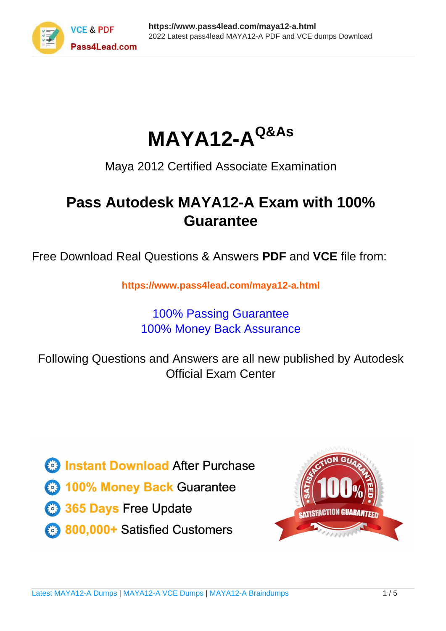

**MAYA12-AQ&As**

Maya 2012 Certified Associate Examination

## **Pass Autodesk MAYA12-A Exam with 100% Guarantee**

Free Download Real Questions & Answers **PDF** and **VCE** file from:

**https://www.pass4lead.com/maya12-a.html**

## 100% Passing Guarantee 100% Money Back Assurance

Following Questions and Answers are all new published by Autodesk Official Exam Center

**63 Instant Download After Purchase** 

- **@ 100% Money Back Guarantee**
- 365 Days Free Update
- 800,000+ Satisfied Customers

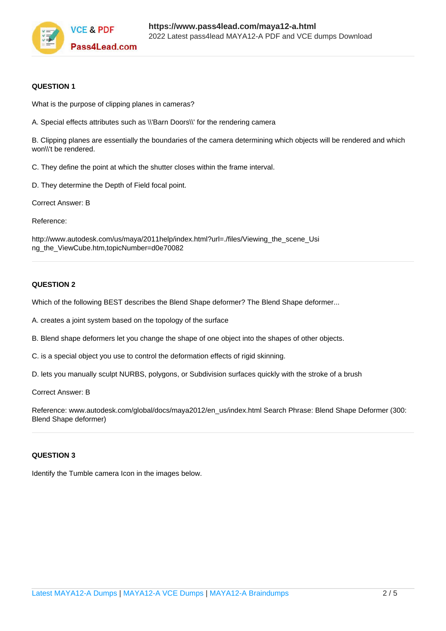

#### **QUESTION 1**

What is the purpose of clipping planes in cameras?

A. Special effects attributes such as \\'Barn Doors\\' for the rendering camera

B. Clipping planes are essentially the boundaries of the camera determining which objects will be rendered and which won\\'t be rendered.

C. They define the point at which the shutter closes within the frame interval.

D. They determine the Depth of Field focal point.

Correct Answer: B

Reference:

http://www.autodesk.com/us/maya/2011help/index.html?url=./files/Viewing\_the\_scene\_Usi ng\_the\_ViewCube.htm,topicNumber=d0e70082

#### **QUESTION 2**

Which of the following BEST describes the Blend Shape deformer? The Blend Shape deformer...

A. creates a joint system based on the topology of the surface

B. Blend shape deformers let you change the shape of one object into the shapes of other objects.

C. is a special object you use to control the deformation effects of rigid skinning.

D. lets you manually sculpt NURBS, polygons, or Subdivision surfaces quickly with the stroke of a brush

Correct Answer: B

Reference: www.autodesk.com/global/docs/maya2012/en\_us/index.html Search Phrase: Blend Shape Deformer (300: Blend Shape deformer)

#### **QUESTION 3**

Identify the Tumble camera Icon in the images below.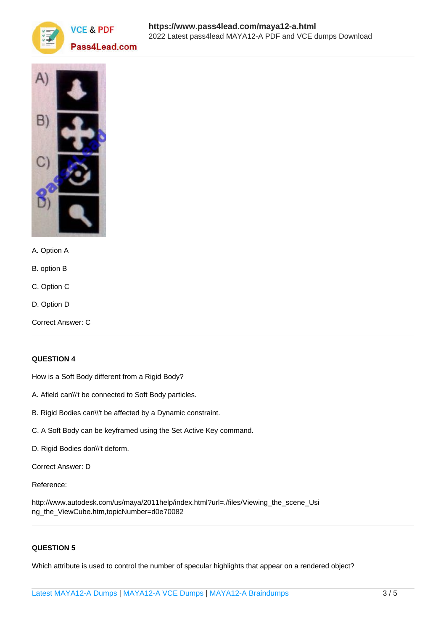



- A. Option A
- B. option B
- C. Option C
- D. Option D
- Correct Answer: C

### **QUESTION 4**

How is a Soft Body different from a Rigid Body?

- A. Afield can\\'t be connected to Soft Body particles.
- B. Rigid Bodies can\\'t be affected by a Dynamic constraint.
- C. A Soft Body can be keyframed using the Set Active Key command.
- D. Rigid Bodies don\\'t deform.

Correct Answer: D

Reference:

http://www.autodesk.com/us/maya/2011help/index.html?url=./files/Viewing\_the\_scene\_Usi ng\_the\_ViewCube.htm,topicNumber=d0e70082

#### **QUESTION 5**

Which attribute is used to control the number of specular highlights that appear on a rendered object?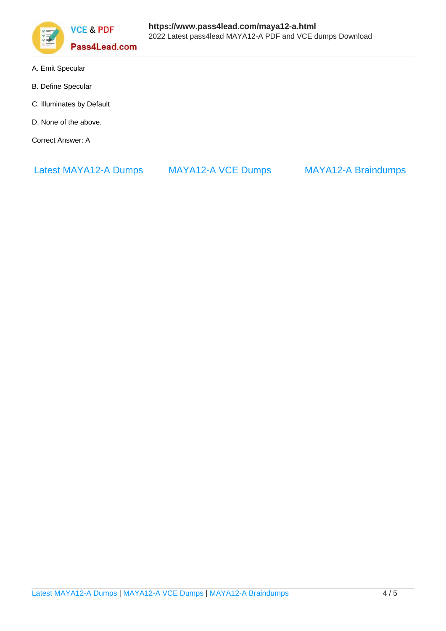

- A. Emit Specular
- B. Define Specular
- C. Illuminates by Default
- D. None of the above.

Correct Answer: A

[Latest MAYA12-A Dumps](https://www.pass4lead.com/maya12-a.html) [MAYA12-A VCE Dumps](https://www.pass4lead.com/maya12-a.html) [MAYA12-A Braindumps](https://www.pass4lead.com/maya12-a.html)